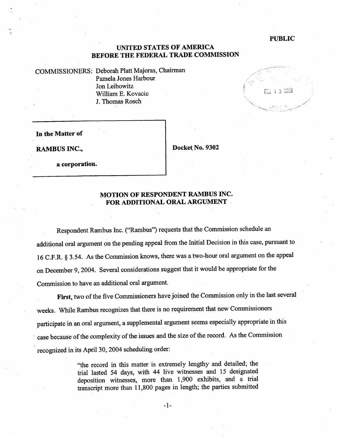#### PUBLIC

## UNITED STATES OF AMERICA BEFORE THE FEDERAL TRADE COMMISSION

COMMISSIONERS: Deborah Platt Majoras, Chairman Pamela Jones Harbour Jon Leibowitz Wiliam E. Kovacic J. Thomas Rosch



In the Matter of

a corporation.

RAMBUS INC., 2008 | Docket, No. 9302

## MOTION OF RESPONDENT RAMBUS INC. FOR ADDITIONAL ORAL ARGUMENT

Respondent Rambus Inc. ("Rambus") requests that the Commission schedule an additional oral argument on the pending appeal from the Initial Decision in this case, pursuant to 16 C.F.R. § 3.54. As the Commission knows, there was a two-hour oral argument on the appeal on December 9,2004. Several considerations suggest that it would be appropriate for the Commission to have an additional oral argument.

First, two of the five Commissioners have joined the Commission only in the last several weeks. While Rambus recognizes that there is no requirement that new Commissioners participate in an oral argument, a supplemental argument seems especially appropriate in this case because of the complexity of the issues and the size of the record. As the Commission recognized in its April 30, 2004 scheduling order:

> "the record in this matter is extremely lengthy and detailed; the trial lasted 54 days, with 44 live witnesses and 15 designated deposition witnesses, more than 1,900 exhibits, and a trial transcript more than 11,800 pages in length; the paries submitted

> > -1-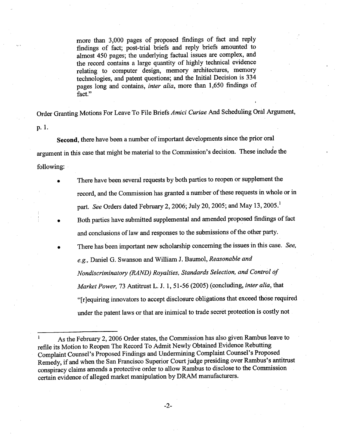more than 3,000 pages of proposed findings of fact and reply findings of fact; post-trial briefs and reply briefs amounted to almost 450 pages; the underlying factual issues are complex, and the record contains a large quantity of highly technical evidence relating to computer design, memory architectures, memory technologies, and patent questions; and the Initial Decision is 334 pages long and contains, inter alia, more than 1,650 findings of fact."

Order Granting Motions For Leave To File Briefs Amici Curiae And Scheduling Oral Argument, p.1.

Second, there have been a number of important developments since the prior oral i argument in this case that might be material to the Commission's decision. These include the following:

- . There have been several requests by both paries to reopen or supplement the record, and the Commission has granted a number of these requests in whole or in part. See Orders dated February 2, 2006; July 20, 2005; and May 13, 2005.<sup>1</sup>
- . Both paries have submitted supplemental and amended proposed findings of fact and conclusions of law and responses to the submissions of the other party.
	- . There has been important new scholarship concerning the issues in this case. See, e.g., Daniel G. Swanson and Wiliam J. Baumol, Reasonable and Nondiscriminatory (RAND) Royalties, Standards Selection, and Control of Market Power, 73 Antitrust L. J. 1, 51-56 (2005) (concluding, inter alia, that "[r]equiring innovators to accept disclosure obligations that exceed those required under the patent laws or that are inimical to trade secret protection is costly not

-2-

As the February 2, 2006 Order states, the Commission has also given Rambus leave to refile its Motion to Reopen The Record To Admit Newly Obtained Evidence Rebutting Complaint Counsel's Proposed Findings and Undermining Complaint Counsel's Proposed Remedy, if and when the San Francisco Superior Court judge presiding over Rambus's antitrust conspiracy claims amends a protective order to allow Rambus to disclose to the Commission certain evidence of alleged market manipulation by DRAM manufacturers.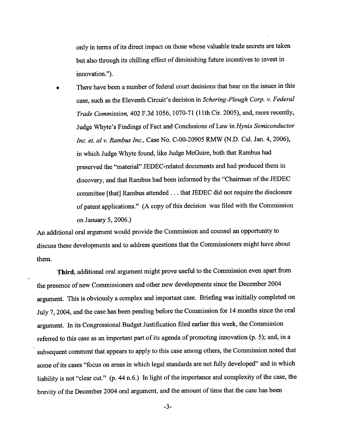onlyin terms of its direct impact on those whose valuable trade secrets are taken but also through its chillng effect of diminishing future incentives to invest in innovation.").

. There have been a number of federal court decisions that bear on the issues in this case, such as the Eleventh Circuit's decision in Schering-Plough Corp. v. Federal Trade Commission, 402 F.3d 1056, 1070-71 (lIth Cir. 2005), and, more recently, Judge Whyte's Findings of Fact and Conclusions of Law in Hynix Semiconductor Inc. et. al v. Rambus Inc., Case No. C-00-20905 RMW (N.D. CaL. Jan. 4,2006), in which Judge Whyte found, like Judge McGuire, both that Rambus had preserved the "material" JEDEC-related documents and had produced them in discovery, and that Rambus had been informed by the "Chairman of the JEDEC committee (that) Rambus attended. . . that JEDEC did not require the disclosure of patent applications." (A copy of this decision was filed with the Commission on January 5, 2006.)

Ar additional oral argument would provide the Commission and counsel an opportnity to discuss these developments and to address questions that the Commissioners might have about them.

Third, additional oral argument might prove useful to the Commission even apart from the presence of new Commissioners and other new developments since the December 2004 argument. This is obviously a complex and important case. Briefing was initially completed on July 7,2004, and the case has been pending before the Commission for 14 months since the oral argument. In its Congressional Budget Justification fied earlier this week, the Commission referred to this case as an important part of its agenda of promoting innovation (p. 5); and, in a subsequent comment that appears to apply to this case among others, the Commission noted that some of its cases "focus on areas in which legal standards are not fully developed" and in which liability is not "clear cut." (p. 44 n.6.) In light of the importance and complexity of the case, the brevity of the December 2004 oral argument, and the amount of time that the case has been

-3-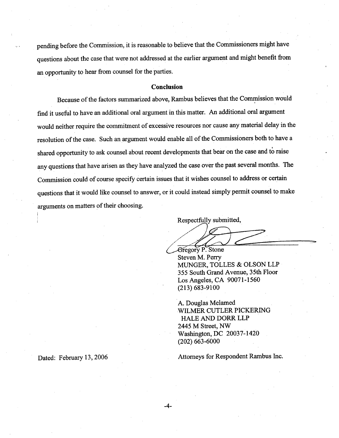pending before the Commission, it is reasonable to believe that the Commissioners might have questions about the case that were not addressed at the earlier argument and might benefit from an opportunity to hear from counsel for the parties.

#### Conclusion

Because of the factors summarized above, Rambus believes that the Commission would find it useful to have an additional oral argument in this 'matter. An additional oral argument would neither require the commitment of excessive resources nor cause any material delay in the resolution of the case. Such an argument would enable all of the Commissioners both to have a shared opportunity to ask counsel about recent developments that bear on the case and to raise any questions that have arisen as they have analyzed the case over the past several months. The Commission could of course specify certain issues that it wishes counsel to address or certain questions that it would like counsel to answer, or it could instead simply permit counsel to make arguments on matters of their choosing.

Respectfully submitted,

Respectfully submitted,

~

Steven M. Perr MUNGER, TOLLES & OLSON LLP 355 South Grand Avenue, 35th Floor Los Argeles, CA 90071-1560 (213) 683-9100

A. Douglas Melamed WILMER CUTLER PICKERING HALE AND DORR LLP 2445 M Street, NW Washington, DC 20037-1420 (202) 663-6000

i

Dated: February 13, 2006 Attorneys for Respondent Rambus Inc.